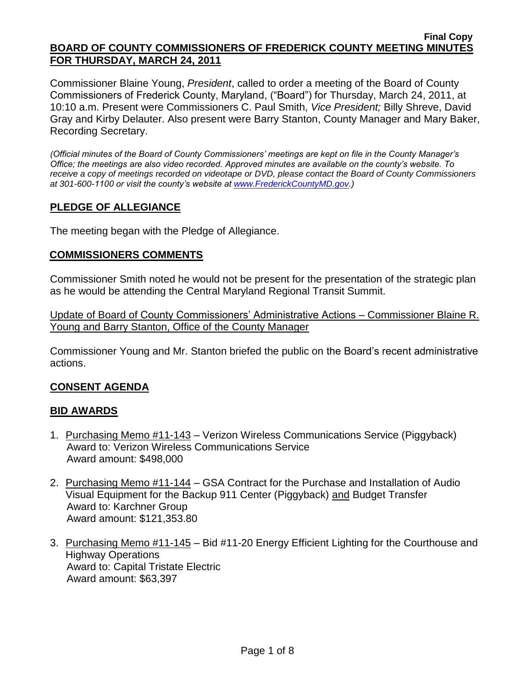#### **Final Copy BOARD OF COUNTY COMMISSIONERS OF FREDERICK COUNTY MEETING MINUTES FOR THURSDAY, MARCH 24, 2011**

Commissioner Blaine Young, *President*, called to order a meeting of the Board of County Commissioners of Frederick County, Maryland, ("Board") for Thursday, March 24, 2011, at 10:10 a.m. Present were Commissioners C. Paul Smith, *Vice President;* Billy Shreve, David Gray and Kirby Delauter. Also present were Barry Stanton, County Manager and Mary Baker, Recording Secretary.

*(Official minutes of the Board of County Commissioners' meetings are kept on file in the County Manager's Office; the meetings are also video recorded. Approved minutes are available on the county's website. To receive a copy of meetings recorded on videotape or DVD, please contact the Board of County Commissioners at 301-600-1100 or visit the county's website at [www.FrederickCountyMD.gov.](http://www.frederickcountymd.gov/))*

## **PLEDGE OF ALLEGIANCE**

The meeting began with the Pledge of Allegiance.

#### **COMMISSIONERS COMMENTS**

Commissioner Smith noted he would not be present for the presentation of the strategic plan as he would be attending the Central Maryland Regional Transit Summit.

Update of Board of County Commissioners' Administrative Actions – Commissioner Blaine R. Young and Barry Stanton, Office of the County Manager

Commissioner Young and Mr. Stanton briefed the public on the Board's recent administrative actions.

## **CONSENT AGENDA**

#### **BID AWARDS**

- 1. Purchasing Memo #11-143 Verizon Wireless Communications Service (Piggyback) Award to: Verizon Wireless Communications Service Award amount: \$498,000
- 2. Purchasing Memo #11-144 GSA Contract for the Purchase and Installation of Audio Visual Equipment for the Backup 911 Center (Piggyback) and Budget Transfer Award to: Karchner Group Award amount: \$121,353.80
- 3. Purchasing Memo #11-145 Bid #11-20 Energy Efficient Lighting for the Courthouse and Highway Operations Award to: Capital Tristate Electric Award amount: \$63,397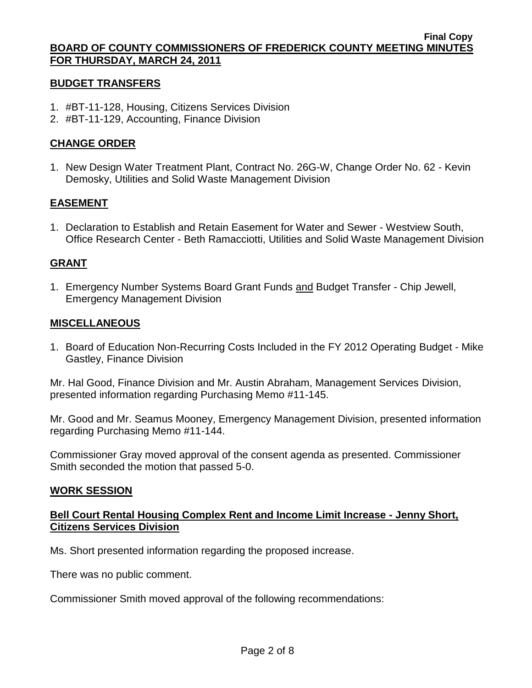#### **BUDGET TRANSFERS**

- 1. #BT-11-128, Housing, Citizens Services Division
- 2. #BT-11-129, Accounting, Finance Division

#### **CHANGE ORDER**

1. New Design Water Treatment Plant, Contract No. 26G-W, Change Order No. 62 - Kevin Demosky, Utilities and Solid Waste Management Division

#### **EASEMENT**

1. Declaration to Establish and Retain Easement for Water and Sewer - Westview South, Office Research Center - Beth Ramacciotti, Utilities and Solid Waste Management Division

#### **GRANT**

1. Emergency Number Systems Board Grant Funds and Budget Transfer - Chip Jewell, Emergency Management Division

#### **MISCELLANEOUS**

1. Board of Education Non-Recurring Costs Included in the FY 2012 Operating Budget - Mike Gastley, Finance Division

Mr. Hal Good, Finance Division and Mr. Austin Abraham, Management Services Division, presented information regarding Purchasing Memo #11-145.

Mr. Good and Mr. Seamus Mooney, Emergency Management Division, presented information regarding Purchasing Memo #11-144.

Commissioner Gray moved approval of the consent agenda as presented. Commissioner Smith seconded the motion that passed 5-0.

#### **WORK SESSION**

#### **Bell Court Rental Housing Complex Rent and Income Limit Increase - Jenny Short, Citizens Services Division**

Ms. Short presented information regarding the proposed increase.

There was no public comment.

Commissioner Smith moved approval of the following recommendations: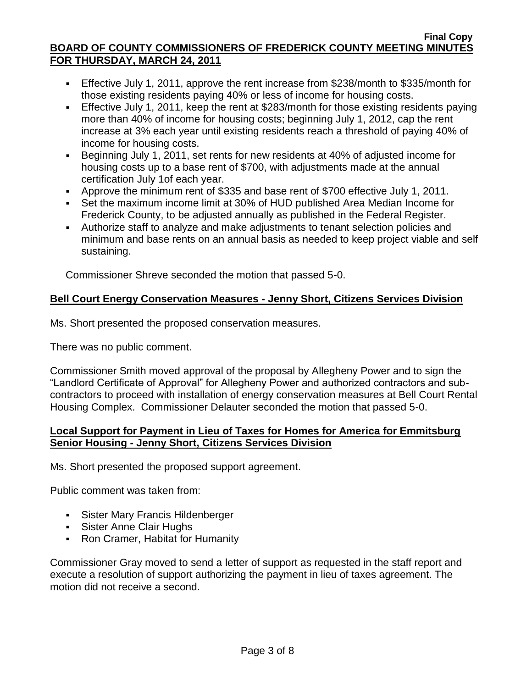- Effective July 1, 2011, approve the rent increase from \$238/month to \$335/month for those existing residents paying 40% or less of income for housing costs.
- Effective July 1, 2011, keep the rent at \$283/month for those existing residents paying more than 40% of income for housing costs; beginning July 1, 2012, cap the rent increase at 3% each year until existing residents reach a threshold of paying 40% of income for housing costs.
- Beginning July 1, 2011, set rents for new residents at 40% of adjusted income for housing costs up to a base rent of \$700, with adjustments made at the annual certification July 1of each year.
- Approve the minimum rent of \$335 and base rent of \$700 effective July 1, 2011.
- Set the maximum income limit at 30% of HUD published Area Median Income for Frederick County, to be adjusted annually as published in the Federal Register.
- Authorize staff to analyze and make adjustments to tenant selection policies and minimum and base rents on an annual basis as needed to keep project viable and self sustaining.

Commissioner Shreve seconded the motion that passed 5-0.

## **Bell Court Energy Conservation Measures - Jenny Short, Citizens Services Division**

Ms. Short presented the proposed conservation measures.

There was no public comment.

Commissioner Smith moved approval of the proposal by Allegheny Power and to sign the "Landlord Certificate of Approval" for Allegheny Power and authorized contractors and subcontractors to proceed with installation of energy conservation measures at Bell Court Rental Housing Complex. Commissioner Delauter seconded the motion that passed 5-0.

## **Local Support for Payment in Lieu of Taxes for Homes for America for Emmitsburg Senior Housing - Jenny Short, Citizens Services Division**

Ms. Short presented the proposed support agreement.

Public comment was taken from:

- Sister Mary Francis Hildenberger
- **Sister Anne Clair Hughs**
- Ron Cramer, Habitat for Humanity

Commissioner Gray moved to send a letter of support as requested in the staff report and execute a resolution of support authorizing the payment in lieu of taxes agreement. The motion did not receive a second.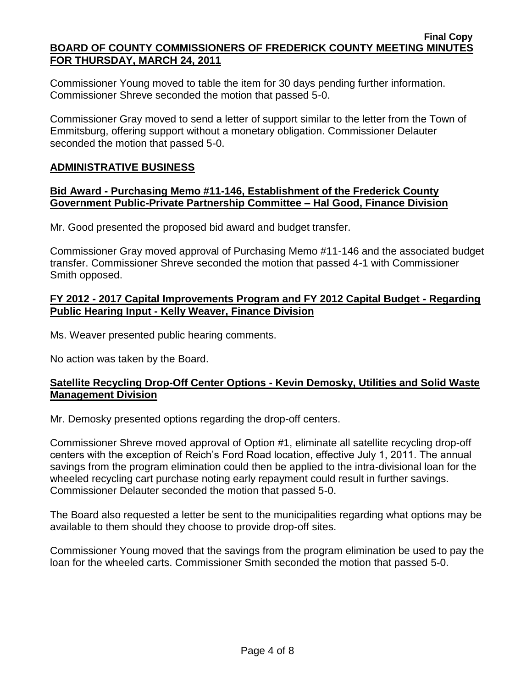Commissioner Young moved to table the item for 30 days pending further information. Commissioner Shreve seconded the motion that passed 5-0.

Commissioner Gray moved to send a letter of support similar to the letter from the Town of Emmitsburg, offering support without a monetary obligation. Commissioner Delauter seconded the motion that passed 5-0.

## **ADMINISTRATIVE BUSINESS**

#### **Bid Award - Purchasing Memo #11-146, Establishment of the Frederick County Government Public-Private Partnership Committee – Hal Good, Finance Division**

Mr. Good presented the proposed bid award and budget transfer.

Commissioner Gray moved approval of Purchasing Memo #11-146 and the associated budget transfer. Commissioner Shreve seconded the motion that passed 4-1 with Commissioner Smith opposed.

#### **FY 2012 - 2017 Capital Improvements Program and FY 2012 Capital Budget - Regarding Public Hearing Input - Kelly Weaver, Finance Division**

Ms. Weaver presented public hearing comments.

No action was taken by the Board.

## **Satellite Recycling Drop-Off Center Options - Kevin Demosky, Utilities and Solid Waste Management Division**

Mr. Demosky presented options regarding the drop-off centers.

Commissioner Shreve moved approval of Option #1, eliminate all satellite recycling drop-off centers with the exception of Reich's Ford Road location, effective July 1, 2011. The annual savings from the program elimination could then be applied to the intra-divisional loan for the wheeled recycling cart purchase noting early repayment could result in further savings. Commissioner Delauter seconded the motion that passed 5-0.

The Board also requested a letter be sent to the municipalities regarding what options may be available to them should they choose to provide drop-off sites.

Commissioner Young moved that the savings from the program elimination be used to pay the loan for the wheeled carts. Commissioner Smith seconded the motion that passed 5-0.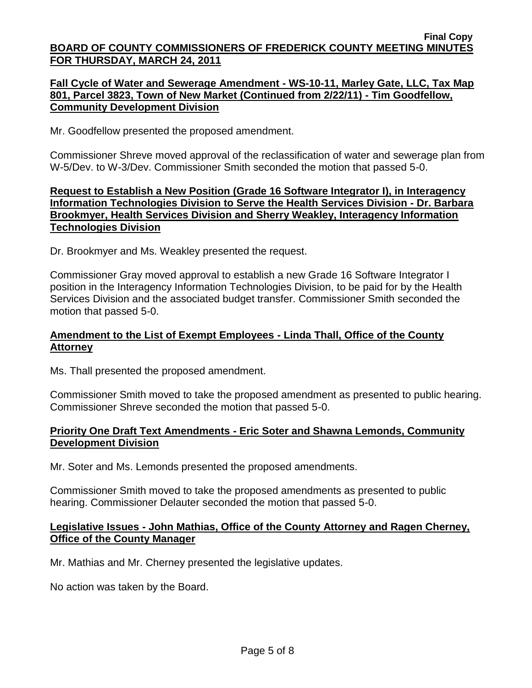### **Fall Cycle of Water and Sewerage Amendment - WS-10-11, Marley Gate, LLC, Tax Map 801, Parcel 3823, Town of New Market (Continued from 2/22/11) - Tim Goodfellow, Community Development Division**

Mr. Goodfellow presented the proposed amendment.

Commissioner Shreve moved approval of the reclassification of water and sewerage plan from W-5/Dev. to W-3/Dev. Commissioner Smith seconded the motion that passed 5-0.

### **Request to Establish a New Position (Grade 16 Software Integrator I), in Interagency Information Technologies Division to Serve the Health Services Division - Dr. Barbara Brookmyer, Health Services Division and Sherry Weakley, Interagency Information Technologies Division**

Dr. Brookmyer and Ms. Weakley presented the request.

Commissioner Gray moved approval to establish a new Grade 16 Software Integrator I position in the Interagency Information Technologies Division, to be paid for by the Health Services Division and the associated budget transfer. Commissioner Smith seconded the motion that passed 5-0.

### **Amendment to the List of Exempt Employees - Linda Thall, Office of the County Attorney**

Ms. Thall presented the proposed amendment.

Commissioner Smith moved to take the proposed amendment as presented to public hearing. Commissioner Shreve seconded the motion that passed 5-0.

#### **Priority One Draft Text Amendments - Eric Soter and Shawna Lemonds, Community Development Division**

Mr. Soter and Ms. Lemonds presented the proposed amendments.

Commissioner Smith moved to take the proposed amendments as presented to public hearing. Commissioner Delauter seconded the motion that passed 5-0.

#### **Legislative Issues - John Mathias, Office of the County Attorney and Ragen Cherney, Office of the County Manager**

Mr. Mathias and Mr. Cherney presented the legislative updates.

No action was taken by the Board.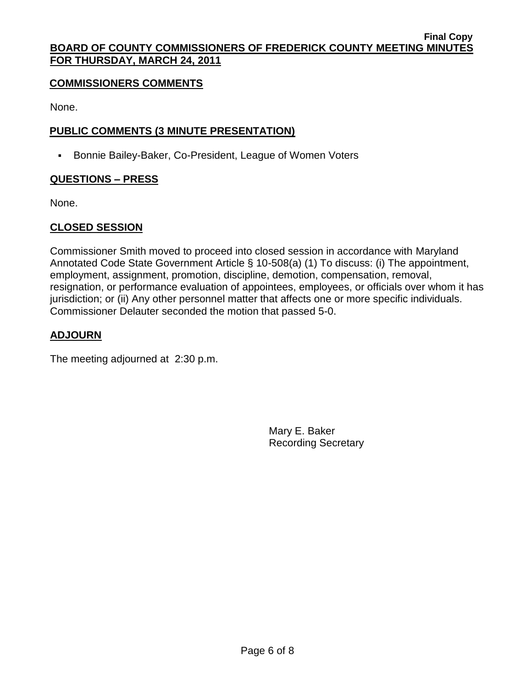### **COMMISSIONERS COMMENTS**

None.

## **PUBLIC COMMENTS (3 MINUTE PRESENTATION)**

**Bonnie Bailey-Baker, Co-President, League of Women Voters** 

## **QUESTIONS – PRESS**

None.

# **CLOSED SESSION**

Commissioner Smith moved to proceed into closed session in accordance with Maryland Annotated Code State Government Article § 10-508(a) (1) To discuss: (i) The appointment, employment, assignment, promotion, discipline, demotion, compensation, removal, resignation, or performance evaluation of appointees, employees, or officials over whom it has jurisdiction; or (ii) Any other personnel matter that affects one or more specific individuals. Commissioner Delauter seconded the motion that passed 5-0.

# **ADJOURN**

The meeting adjourned at 2:30 p.m.

Mary E. Baker Recording Secretary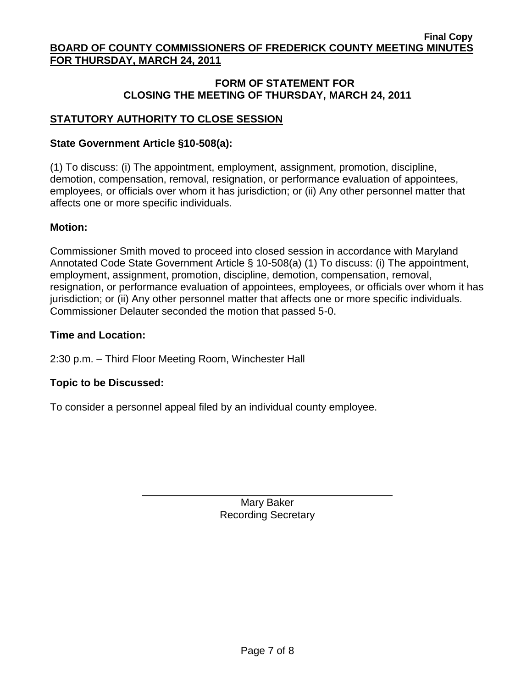### **FORM OF STATEMENT FOR CLOSING THE MEETING OF THURSDAY, MARCH 24, 2011**

## **STATUTORY AUTHORITY TO CLOSE SESSION**

### **State Government Article §10-508(a):**

(1) To discuss: (i) The appointment, employment, assignment, promotion, discipline, demotion, compensation, removal, resignation, or performance evaluation of appointees, employees, or officials over whom it has jurisdiction; or (ii) Any other personnel matter that affects one or more specific individuals.

#### **Motion:**

Commissioner Smith moved to proceed into closed session in accordance with Maryland Annotated Code State Government Article § 10-508(a) (1) To discuss: (i) The appointment, employment, assignment, promotion, discipline, demotion, compensation, removal, resignation, or performance evaluation of appointees, employees, or officials over whom it has jurisdiction; or (ii) Any other personnel matter that affects one or more specific individuals. Commissioner Delauter seconded the motion that passed 5-0.

#### **Time and Location:**

2:30 p.m. – Third Floor Meeting Room, Winchester Hall

#### **Topic to be Discussed:**

To consider a personnel appeal filed by an individual county employee.

Mary Baker Recording Secretary